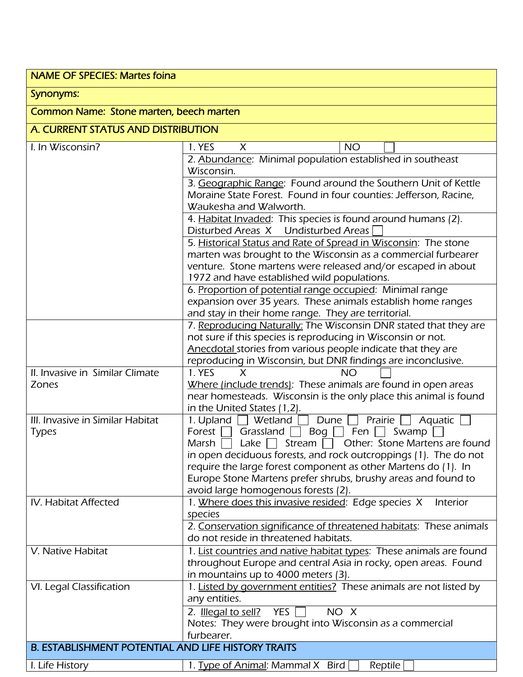## NAME OF SPECIES: Martes foina Synonyms: Common Name: Stone marten, beech marten

## A. CURRENT STATUS AND DISTRIBUTION

| I. In Wisconsin?                                          | 1. YES<br><b>NO</b><br>X                                                |
|-----------------------------------------------------------|-------------------------------------------------------------------------|
|                                                           | 2. Abundance: Minimal population established in southeast               |
|                                                           | Wisconsin.                                                              |
|                                                           | 3. Geographic Range: Found around the Southern Unit of Kettle           |
|                                                           | Moraine State Forest. Found in four counties: Jefferson, Racine,        |
|                                                           | Waukesha and Walworth.                                                  |
|                                                           | 4. Habitat Invaded: This species is found around humans (2).            |
|                                                           | Disturbed Areas X Undisturbed Areas                                     |
|                                                           | 5. Historical Status and Rate of Spread in Wisconsin: The stone         |
|                                                           | marten was brought to the Wisconsin as a commercial furbearer           |
|                                                           | venture. Stone martens were released and/or escaped in about            |
|                                                           | 1972 and have established wild populations.                             |
|                                                           | 6. Proportion of potential range occupied: Minimal range                |
|                                                           | expansion over 35 years. These animals establish home ranges            |
|                                                           | and stay in their home range. They are territorial.                     |
|                                                           | 7. Reproducing Naturally: The Wisconsin DNR stated that they are        |
|                                                           | not sure if this species is reproducing in Wisconsin or not.            |
|                                                           | Anecdotal stories from various people indicate that they are            |
|                                                           | reproducing in Wisconsin, but DNR findings are inconclusive.            |
| II. Invasive in Similar Climate                           | 1. YES<br>X<br><b>NO</b>                                                |
| Zones                                                     | Where (include trends): These animals are found in open areas           |
|                                                           | near homesteads. Wisconsin is the only place this animal is found       |
|                                                           | in the United States (1,2).                                             |
| III. Invasive in Similar Habitat                          | 1. Upland<br>Wetland<br>Dune<br>Prairie<br>Aquatic                      |
| <b>Types</b>                                              | Forest  <br>Grassland $ $<br>Bog $\Box$<br>Fen $\vert \ \vert$<br>Swamp |
|                                                           | Other: Stone Martens are found<br>Lake<br>Stream<br>Marsh               |
|                                                           | in open deciduous forests, and rock outcroppings (1). The do not        |
|                                                           | require the large forest component as other Martens do (1). In          |
|                                                           | Europe Stone Martens prefer shrubs, brushy areas and found to           |
|                                                           | avoid large homogenous forests (2).                                     |
| IV. Habitat Affected                                      | 1. Where does this invasive resided: Edge species X<br>Interior         |
|                                                           | species                                                                 |
|                                                           | 2. Conservation significance of threatened habitats: These animals      |
|                                                           | do not reside in threatened habitats.                                   |
| V. Native Habitat                                         | 1. List countries and native habitat types: These animals are found     |
|                                                           | throughout Europe and central Asia in rocky, open areas. Found          |
|                                                           | in mountains up to 4000 meters (3).                                     |
| VI. Legal Classification                                  | 1. Listed by government entities? These animals are not listed by       |
|                                                           | any entities.                                                           |
|                                                           | YES  <br>NO X<br>2. Illegal to sell?                                    |
|                                                           | Notes: They were brought into Wisconsin as a commercial                 |
|                                                           | furbearer.                                                              |
| <b>B. ESTABLISHMENT POTENTIAL AND LIFE HISTORY TRAITS</b> |                                                                         |
| I. Life History                                           | 1. Type of Animal: Mammal X Bird<br>Reptile                             |
|                                                           |                                                                         |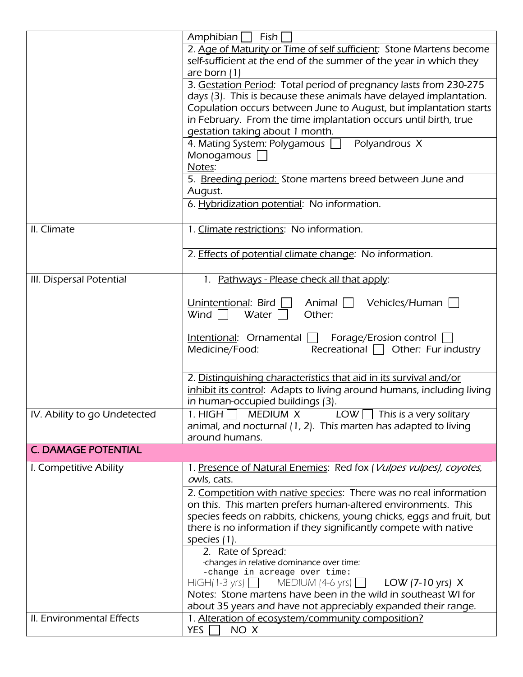|                              | Amphibian<br>Fish                                                     |
|------------------------------|-----------------------------------------------------------------------|
|                              | 2. Age of Maturity or Time of self sufficient: Stone Martens become   |
|                              | self-sufficient at the end of the summer of the year in which they    |
|                              | are born $(1)$                                                        |
|                              | 3. Gestation Period: Total period of pregnancy lasts from 230-275     |
|                              | days (3). This is because these animals have delayed implantation.    |
|                              | Copulation occurs between June to August, but implantation starts     |
|                              | in February. From the time implantation occurs until birth, true      |
|                              | gestation taking about 1 month.                                       |
|                              | 4. Mating System: Polygamous   Polyandrous X                          |
|                              | Monogamous                                                            |
|                              | Notes:                                                                |
|                              | 5. Breeding period: Stone martens breed between June and              |
|                              | August.                                                               |
|                              | 6. Hybridization potential: No information.                           |
|                              |                                                                       |
| II. Climate                  | 1. Climate restrictions: No information.                              |
|                              |                                                                       |
|                              | 2. Effects of potential climate change: No information.               |
|                              |                                                                       |
| III. Dispersal Potential     | 1. Pathways - Please check all that apply:                            |
|                              | Unintentional: Bird $\Box$<br>Animal $\Box$<br>Vehicles/Human         |
|                              | Wind $\Box$<br>Water $\Box$<br>Other:                                 |
|                              |                                                                       |
|                              | <u>Intentional</u> : Ornamental    <br>Forage/Erosion control         |
|                              | Recreational $\Box$ Other: Fur industry<br>Medicine/Food:             |
|                              |                                                                       |
|                              | 2. Distinguishing characteristics that aid in its survival and/or     |
|                              | inhibit its control: Adapts to living around humans, including living |
|                              | in human-occupied buildings (3).                                      |
| IV. Ability to go Undetected | 1. HIGH $\Box$ MEDIUM X LOW $\Box$ This is a very solitary            |
|                              | animal, and nocturnal (1, 2). This marten has adapted to living       |
|                              | around humans.                                                        |
| <b>C. DAMAGE POTENTIAL</b>   |                                                                       |
|                              |                                                                       |
| I. Competitive Ability       | 1. Presence of Natural Enemies: Red fox (Vulpes vulpes), coyotes,     |
|                              | owls, cats.                                                           |
|                              | 2. Competition with native species: There was no real information     |
|                              | on this. This marten prefers human-altered environments. This         |
|                              | species feeds on rabbits, chickens, young chicks, eggs and fruit, but |
|                              | there is no information if they significantly compete with native     |
|                              | species (1).                                                          |
|                              | 2. Rate of Spread:<br>-changes in relative dominance over time:       |
|                              | -change in acreage over time:                                         |
|                              | $HIGH(1-3 \text{ yrs})$ MEDIUM (4-6 yrs)<br>LOW (7-10 yrs) $X$        |
|                              | Notes: Stone martens have been in the wild in southeast WI for        |
|                              | about 35 years and have not appreciably expanded their range.         |
| II. Environmental Effects    | 1. Alteration of ecosystem/community composition?                     |
|                              | <b>YES</b><br>NO X                                                    |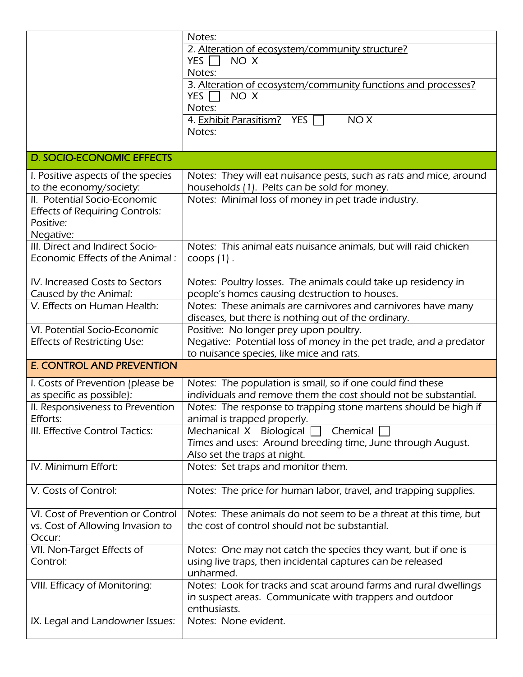|                                       | Notes:                                                             |
|---------------------------------------|--------------------------------------------------------------------|
|                                       | 2. Alteration of ecosystem/community structure?                    |
|                                       | YES $\Box$<br>NO X                                                 |
|                                       | Notes:                                                             |
|                                       | 3. Alteration of ecosystem/community functions and processes?      |
|                                       | YES $\Gamma$<br>NO X                                               |
|                                       | Notes:                                                             |
|                                       | 4. Exhibit Parasitism? YES<br>NO <sub>X</sub>                      |
|                                       | Notes:                                                             |
|                                       |                                                                    |
| <b>D. SOCIO-ECONOMIC EFFECTS</b>      |                                                                    |
| I. Positive aspects of the species    | Notes: They will eat nuisance pests, such as rats and mice, around |
| to the economy/society:               | households (1). Pelts can be sold for money.                       |
| II. Potential Socio-Economic          | Notes: Minimal loss of money in pet trade industry.                |
| <b>Effects of Requiring Controls:</b> |                                                                    |
| Positive:                             |                                                                    |
| Negative:                             |                                                                    |
| III. Direct and Indirect Socio-       | Notes: This animal eats nuisance animals, but will raid chicken    |
| Economic Effects of the Animal:       | $coop(1)$ .                                                        |
|                                       |                                                                    |
| IV. Increased Costs to Sectors        | Notes: Poultry losses. The animals could take up residency in      |
| Caused by the Animal:                 | people's homes causing destruction to houses.                      |
| V. Effects on Human Health:           | Notes: These animals are carnivores and carnivores have many       |
|                                       | diseases, but there is nothing out of the ordinary.                |
| VI. Potential Socio-Economic          | Positive: No longer prey upon poultry.                             |
| <b>Effects of Restricting Use:</b>    | Negative: Potential loss of money in the pet trade, and a predator |
|                                       | to nuisance species, like mice and rats.                           |
| <b>E. CONTROL AND PREVENTION</b>      |                                                                    |
| I. Costs of Prevention (please be     | Notes: The population is small, so if one could find these         |
| as specific as possible):             | individuals and remove them the cost should not be substantial.    |
| II. Responsiveness to Prevention      | Notes: The response to trapping stone martens should be high if    |
| Efforts:                              | animal is trapped properly.                                        |
| III. Effective Control Tactics:       | Mechanical X Biological<br>Chemical                                |
|                                       | Times and uses: Around breeding time, June through August.         |
|                                       | Also set the traps at night.                                       |
| IV. Minimum Effort:                   | Notes: Set traps and monitor them.                                 |
| V. Costs of Control:                  | Notes: The price for human labor, travel, and trapping supplies.   |
|                                       |                                                                    |
| VI. Cost of Prevention or Control     | Notes: These animals do not seem to be a threat at this time, but  |
| vs. Cost of Allowing Invasion to      | the cost of control should not be substantial.                     |
| Occur:                                |                                                                    |
| VII. Non-Target Effects of            | Notes: One may not catch the species they want, but if one is      |
| Control:                              | using live traps, then incidental captures can be released         |
|                                       | unharmed.                                                          |
| VIII. Efficacy of Monitoring:         | Notes: Look for tracks and scat around farms and rural dwellings   |
|                                       | in suspect areas. Communicate with trappers and outdoor            |
|                                       | enthusiasts.                                                       |
| IX. Legal and Landowner Issues:       | Notes: None evident.                                               |
|                                       |                                                                    |